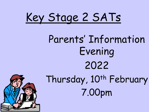

# Parents' Information Evening 2022 Thursday, 10th February 7.00pm

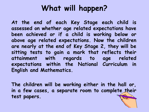## **What will happen?**

**At the end of each Key Stage each child is assessed on whether age related expectations have been achieved or if a child is working below or above age related expectations. Now the children are nearly at the end of Key Stage 2, they will be sitting tests to gain a mark that reflects their attainment with regards to age related expectations within the National Curriculum in English and Mathematics.**

**The children will be working either in the hall or, in a few cases, a separate room to complete their test papers.**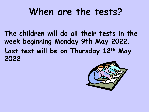## **When are the tests?**

**The children will do all their tests in the week beginning Monday 9th May 2022. Last test will be on Thursday 12th May 2022.**

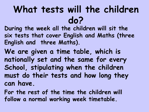## **What tests will the children do?**

**During the week all the children will sit the six tests that cover English and Maths (three English and three Maths).** 

**We are given a time table, which is nationally set and the same for every School, stipulating when the children must do their tests and how long they can have.**

**For the rest of the time the children will follow a normal working week timetable.**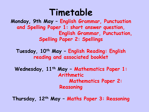## **Timetable**

**Monday, 9th May – English Grammar, Punctuation and Spelling Paper 1: short answer question, English Grammar, Punctuation, Spelling Paper 2: Spellings**

**Tuesday, 10th May – English Reading: English reading and associated booklet**

**Wednesday, 11th May – Mathematics Paper 1: Arithmetic Mathematics Paper 2: Reasoning**

**Thursday, 12th May – Maths Paper 3: Reasoning**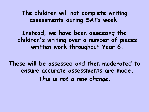**The children will not complete writing assessments during SATs week.**

**Instead, we have been assessing the children's writing over a number of pieces written work throughout Year 6.** 

**These will be assessed and then moderated to ensure accurate assessments are made.** *This is not a new change.*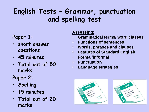### **English Tests – Grammar, punctuation and spelling test**

#### **Paper 1:**

- **short answer questions**
- **45 minutes**
- **Total out of 50 marks**

#### **Paper 2:**

- **Spelling**
- **15 minutes**
- **Total out of 20 marks**

#### **Assessing:**

- **Grammatical terms/ word classes**
- **Functions of sentences**
- **Words, phrases and clauses**
- **Features of Standard English**
- **Formal/informal**
- **Punctuation**
- **Language strategies**



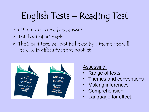# English Tests – Reading Test

- 60 minutes to read and answer
- Total out of 50 marks
- The 3 or 4 texts will not be linked by a theme and will increase in difficulty in the booklet



Assessing:

- **Range of texts**
- Themes and conventions
- Making inferences
- **Comprehension**
- **Language for effect**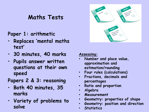#### **Maths Tests**

#### **Paper 1: arithmetic**

- **Replaces 'mental maths test'**
- **30 minutes, 40 marks**
- **Pupils answer written questions at their own speed**

#### **Papers 2 & 3: reasoning**

- **Both 40 minutes, 35 marks**
- **Variety of problems to solve**



#### **Assessing:**

- **Number and place value, approximation and estimation/rounding**
- **Four rules (calculations)**
- **Fractions, decimals and percentages**
- **Ratio and proportion**
- **Algebra**
- **Measurement**
- **Geometry: properties of shape**
- **Geometry: position and direction**
- **Statistics**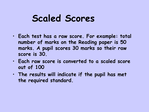## **Scaled Scores**

- **Each test has a raw score. For example: total number of marks on the Reading paper is 50 marks. A pupil scores 30 marks so their raw score is 30.**
- **Each raw score is converted to a scaled score out of 100**
- **The results will indicate if the pupil has met the required standard.**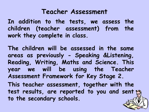#### **Teacher Assessment**

**In addition to the tests, we assess the children (teacher assessment) from the work they complete in class.**

**The children will be assessed in the same areas as previously - Speaking &Listening, Reading, Writing, Maths and Science. This year we will be using the Teacher Assessment Framework for Key Stage 2. This teacher assessment, together with the test results, are reported to you and sent to the secondary schools.**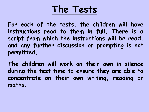## **The Tests**

**For each of the tests, the children will have instructions read to them in full. There is a script from which the instructions will be read, and any further discussion or prompting is not permitted.**

**The children will work on their own in silence during the test time to ensure they are able to concentrate on their own writing, reading or maths.**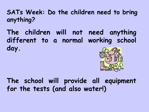**SATs Week: Do the children need to bring anything?**

**The children will not need anything different to a normal working school day.**



**The school will provide all equipment for the tests (and also water!)**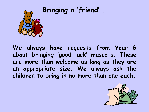# **Bringing a 'friend' …**

**We always have requests from Year 6 about bringing 'good luck' mascots. These are more than welcome as long as they are an appropriate size. We always ask the children to bring in no more than one each.**

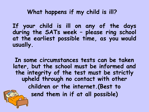**What happens if my child is ill?**

**If your child is ill on any of the days during the SATs week – please ring school at the earliest possible time, as you would usually.**

**In some circumstances tests can be taken later, but the school must be informed and the integrity of the test must be strictly upheld through no contact with other children or the internet.(Best to send them in if at all possible)**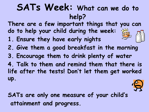## **SATs Week: What can we do to help?**

**There are a few important things that you can do to help your child during the week:**

- **1. Ensure they have early nights**
- **2. Give them a good breakfast in the morning**
- **3. Encourage them to drink plenty of water**

**4. Talk to them and remind them that there is life after the tests! Don't let them get worked up.** 

**SATs are only one measure of your child's attainment and progress.**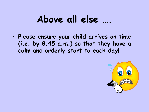## **Above all else ….**

• **Please ensure your child arrives on time (i.e. by 8.45 a.m.) so that they have a calm and orderly start to each day!**

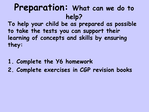## **Preparation: What can we do to help?**

**To help your child be as prepared as possible to take the tests you can support their learning of concepts and skills by ensuring they:**

- **1. Complete the Y6 homework**
- **2. Complete exercises in CGP revision books**